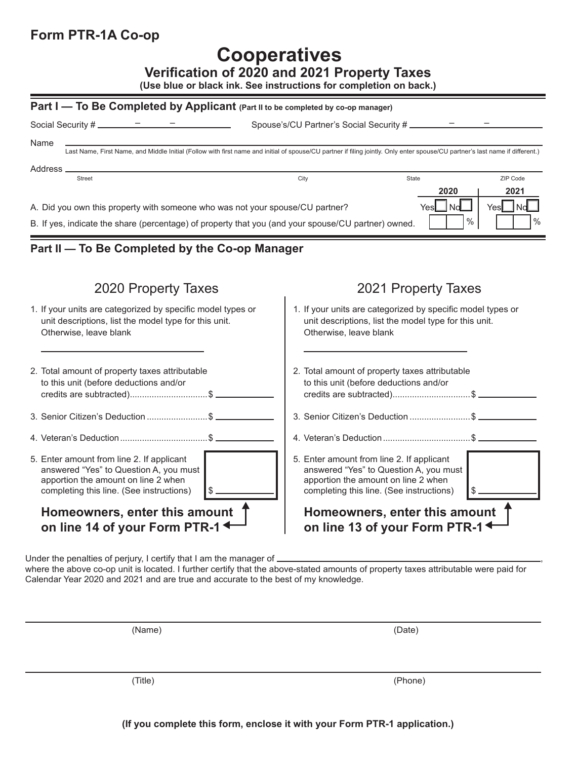# **Form PTR-1A Co-op**

# **Cooperatives**

**Verification of 2020 and 2021 Property Taxes**

**(Use blue or black ink. See instructions for completion on back.)**

#### **Part I — To Be Completed by Applicant** (Part II to be completed by co-op manager)

| Social Security # $\frac{\overline{a} + \overline{b}}{\overline{a} + \overline{b}}$                                                                                                                                     | Spouse's/CU Partner's Social Security # ______________                                                                                                                        |  |  |  |
|-------------------------------------------------------------------------------------------------------------------------------------------------------------------------------------------------------------------------|-------------------------------------------------------------------------------------------------------------------------------------------------------------------------------|--|--|--|
| Name                                                                                                                                                                                                                    | Last Name, First Name, and Middle Initial (Follow with first name and initial of spouse/CU partner if filing jointly. Only enter spouse/CU partner's last name if different.) |  |  |  |
|                                                                                                                                                                                                                         |                                                                                                                                                                               |  |  |  |
| Address _<br><b>Street</b>                                                                                                                                                                                              | ZIP Code<br>City<br><b>State</b>                                                                                                                                              |  |  |  |
|                                                                                                                                                                                                                         | 2020<br>2021<br>$Yes$ No                                                                                                                                                      |  |  |  |
| Yes <b>L</b> Nd<br>A. Did you own this property with someone who was not your spouse/CU partner?<br>$\%$<br>$\%$<br>B. If yes, indicate the share (percentage) of property that you (and your spouse/CU partner) owned. |                                                                                                                                                                               |  |  |  |
|                                                                                                                                                                                                                         |                                                                                                                                                                               |  |  |  |
| Part II - To Be Completed by the Co-op Manager                                                                                                                                                                          |                                                                                                                                                                               |  |  |  |
|                                                                                                                                                                                                                         |                                                                                                                                                                               |  |  |  |
| 2020 Property Taxes                                                                                                                                                                                                     | 2021 Property Taxes                                                                                                                                                           |  |  |  |
| 1. If your units are categorized by specific model types or<br>unit descriptions, list the model type for this unit.<br>Otherwise, leave blank                                                                          | 1. If your units are categorized by specific model types or<br>unit descriptions, list the model type for this unit.<br>Otherwise, leave blank                                |  |  |  |
| 2. Total amount of property taxes attributable<br>to this unit (before deductions and/or                                                                                                                                | 2. Total amount of property taxes attributable<br>to this unit (before deductions and/or                                                                                      |  |  |  |
| 3. Senior Citizen's Deduction  \$                                                                                                                                                                                       |                                                                                                                                                                               |  |  |  |
|                                                                                                                                                                                                                         | 4. Veteran's Deduction \$                                                                                                                                                     |  |  |  |
| 5. Enter amount from line 2. If applicant<br>answered "Yes" to Question A, you must<br>apportion the amount on line 2 when<br>completing this line. (See instructions)                                                  | 5. Enter amount from line 2. If applicant<br>answered "Yes" to Question A, you must<br>apportion the amount on line 2 when<br>completing this line. (See instructions)        |  |  |  |
| Homeowners, enter this amount                                                                                                                                                                                           | Homeowners, enter this amount                                                                                                                                                 |  |  |  |

**on line 13 of your Form PTR-1**

Under the penalties of perjury, I certify that I am the manager of  $\equiv$ 

**on line 14 of your Form PTR-1**

where the above co-op unit is located. I further certify that the above-stated amounts of property taxes attributable were paid for Calendar Year 2020 and 2021 and are true and accurate to the best of my knowledge.

| (Name) | (Date) |  |
|--------|--------|--|
|        |        |  |
|        |        |  |
|        |        |  |

(Title) (Phone)